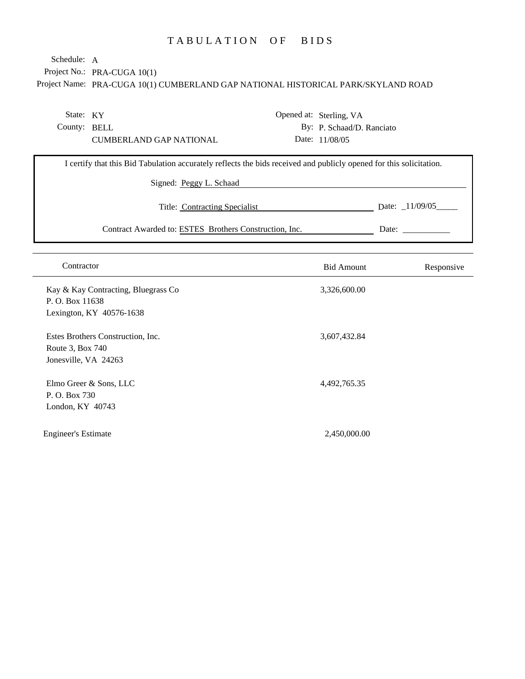# TABULATION OF BIDS

Project No.: PRA-CUGA 10(1) Schedule: A

Project Name: PRA-CUGA 10(1) CUMBERLAND GAP NATIONAL HISTORICAL PARK/SKYLAND ROAD

| State: KY                                                                          |  |                                                        |                                           |                                                                                                                                                  |  |  |
|------------------------------------------------------------------------------------|--|--------------------------------------------------------|-------------------------------------------|--------------------------------------------------------------------------------------------------------------------------------------------------|--|--|
| County: BELL                                                                       |  |                                                        |                                           |                                                                                                                                                  |  |  |
| <b>CUMBERLAND GAP NATIONAL</b>                                                     |  |                                                        |                                           |                                                                                                                                                  |  |  |
|                                                                                    |  |                                                        |                                           |                                                                                                                                                  |  |  |
|                                                                                    |  |                                                        |                                           |                                                                                                                                                  |  |  |
| Signed: Peggy L. Schaad                                                            |  |                                                        |                                           |                                                                                                                                                  |  |  |
| Date: $\_11/09/05$<br>Title: Contracting Specialist                                |  |                                                        |                                           |                                                                                                                                                  |  |  |
|                                                                                    |  |                                                        |                                           | Date:                                                                                                                                            |  |  |
|                                                                                    |  |                                                        |                                           |                                                                                                                                                  |  |  |
| Contractor                                                                         |  | <b>Bid Amount</b>                                      |                                           | Responsive                                                                                                                                       |  |  |
| Kay & Kay Contracting, Bluegrass Co<br>P. O. Box 11638<br>Lexington, KY 40576-1638 |  | 3,326,600.00                                           |                                           |                                                                                                                                                  |  |  |
|                                                                                    |  | Contract Awarded to: ESTES Brothers Construction, Inc. | Opened at: Sterling, VA<br>Date: 11/08/05 | By: P. Schaad/D. Ranciato<br>I certify that this Bid Tabulation accurately reflects the bids received and publicly opened for this solicitation. |  |  |

Estes Brothers Construction, Inc. Route 3, Box 740 Jonesville, VA 24263

Elmo Greer & Sons, LLC P. O. Box 730 London, KY 40743

Engineer's Estimate 2,450,000.00

3,607,432.84

4,492,765.35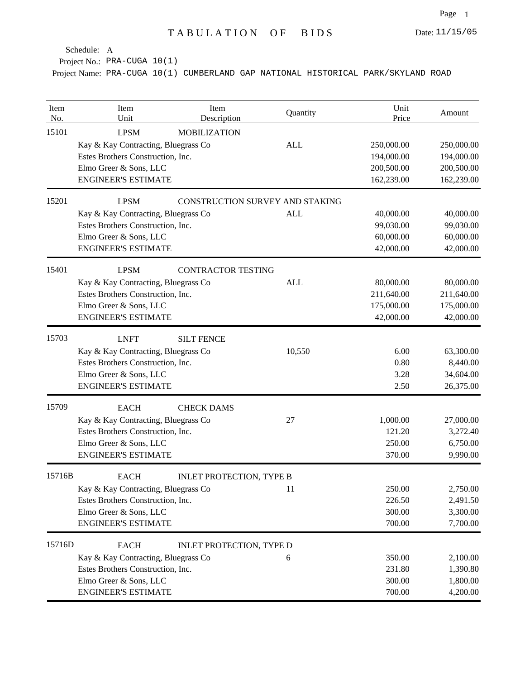Project No.: PRA-CUGA 10(1)

| Item<br>No. | Item<br>Unit                                                                                                                                    | Item<br>Description             | Quantity                                      | Unit<br>Price                                        | Amount                                               |
|-------------|-------------------------------------------------------------------------------------------------------------------------------------------------|---------------------------------|-----------------------------------------------|------------------------------------------------------|------------------------------------------------------|
| 15101       | <b>LPSM</b><br>Kay & Kay Contracting, Bluegrass Co<br>Estes Brothers Construction, Inc.<br>Elmo Greer & Sons, LLC<br><b>ENGINEER'S ESTIMATE</b> | <b>MOBILIZATION</b>             | <b>ALL</b>                                    | 250,000.00<br>194,000.00<br>200,500.00<br>162,239.00 | 250,000.00<br>194,000.00<br>200,500.00<br>162,239.00 |
| 15201       | <b>LPSM</b><br>Kay & Kay Contracting, Bluegrass Co<br>Estes Brothers Construction, Inc.<br>Elmo Greer & Sons, LLC<br><b>ENGINEER'S ESTIMATE</b> |                                 | CONSTRUCTION SURVEY AND STAKING<br><b>ALL</b> | 40,000.00<br>99,030.00<br>60,000.00<br>42,000.00     | 40,000.00<br>99,030.00<br>60,000.00<br>42,000.00     |
| 15401       | <b>LPSM</b><br>Kay & Kay Contracting, Bluegrass Co<br>Estes Brothers Construction, Inc.<br>Elmo Greer & Sons, LLC<br><b>ENGINEER'S ESTIMATE</b> | <b>CONTRACTOR TESTING</b>       | <b>ALL</b>                                    | 80,000.00<br>211,640.00<br>175,000.00<br>42,000.00   | 80,000.00<br>211,640.00<br>175,000.00<br>42,000.00   |
| 15703       | <b>LNFT</b><br>Kay & Kay Contracting, Bluegrass Co<br>Estes Brothers Construction, Inc.<br>Elmo Greer & Sons, LLC<br><b>ENGINEER'S ESTIMATE</b> | <b>SILT FENCE</b>               | 10,550                                        | 6.00<br>0.80<br>3.28<br>2.50                         | 63,300.00<br>8,440.00<br>34,604.00<br>26,375.00      |
| 15709       | <b>EACH</b><br>Kay & Kay Contracting, Bluegrass Co<br>Estes Brothers Construction, Inc.<br>Elmo Greer & Sons, LLC<br><b>ENGINEER'S ESTIMATE</b> | <b>CHECK DAMS</b>               | 27                                            | 1,000.00<br>121.20<br>250.00<br>370.00               | 27,000.00<br>3,272.40<br>6,750.00<br>9,990.00        |
| 15716B      | <b>EACH</b><br>Kay & Kay Contracting, Bluegrass Co<br>Estes Brothers Construction, Inc.<br>Elmo Greer & Sons, LLC<br><b>ENGINEER'S ESTIMATE</b> | <b>INLET PROTECTION, TYPE B</b> | 11                                            | 250.00<br>226.50<br>300.00<br>700.00                 | 2,750.00<br>2,491.50<br>3,300.00<br>7,700.00         |
| 15716D      | <b>EACH</b><br>Kay & Kay Contracting, Bluegrass Co<br>Estes Brothers Construction, Inc.<br>Elmo Greer & Sons, LLC<br><b>ENGINEER'S ESTIMATE</b> | INLET PROTECTION, TYPE D        | 6                                             | 350.00<br>231.80<br>300.00<br>700.00                 | 2,100.00<br>1,390.80<br>1,800.00<br>4,200.00         |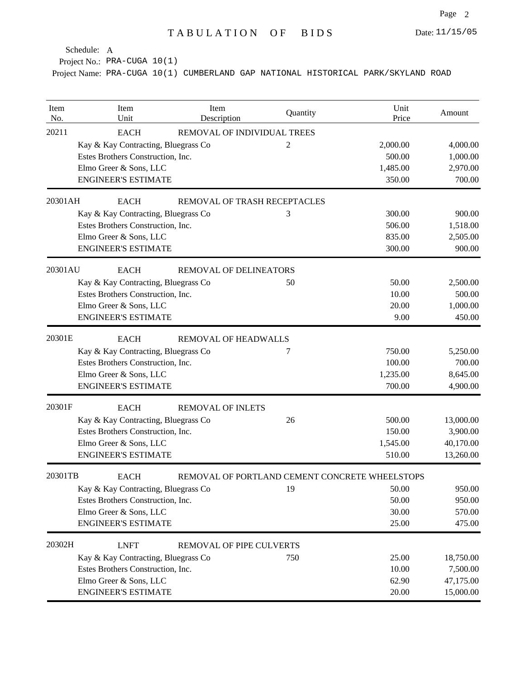Project No.: PRA-CUGA 10(1)

| Item<br>No. | Item<br>Unit                        | Item<br>Description           | Quantity                                       | Unit<br>Price | Amount    |
|-------------|-------------------------------------|-------------------------------|------------------------------------------------|---------------|-----------|
| 20211       | <b>EACH</b>                         | REMOVAL OF INDIVIDUAL TREES   |                                                |               |           |
|             | Kay & Kay Contracting, Bluegrass Co |                               | $\overline{2}$                                 | 2,000.00      | 4,000.00  |
|             | Estes Brothers Construction, Inc.   |                               |                                                | 500.00        | 1,000.00  |
|             | Elmo Greer & Sons, LLC              |                               |                                                | 1,485.00      | 2,970.00  |
|             | <b>ENGINEER'S ESTIMATE</b>          |                               |                                                | 350.00        | 700.00    |
| 20301AH     | <b>EACH</b>                         | REMOVAL OF TRASH RECEPTACLES  |                                                |               |           |
|             | Kay & Kay Contracting, Bluegrass Co |                               | 3                                              | 300.00        | 900.00    |
|             | Estes Brothers Construction, Inc.   |                               |                                                | 506.00        | 1,518.00  |
|             | Elmo Greer & Sons, LLC              |                               |                                                | 835.00        | 2,505.00  |
|             | <b>ENGINEER'S ESTIMATE</b>          |                               |                                                | 300.00        | 900.00    |
| 20301AU     | <b>EACH</b>                         | <b>REMOVAL OF DELINEATORS</b> |                                                |               |           |
|             | Kay & Kay Contracting, Bluegrass Co |                               | 50                                             | 50.00         | 2,500.00  |
|             | Estes Brothers Construction, Inc.   |                               |                                                | 10.00         | 500.00    |
|             | Elmo Greer & Sons, LLC              |                               |                                                | 20.00         | 1,000.00  |
|             | <b>ENGINEER'S ESTIMATE</b>          |                               |                                                | 9.00          | 450.00    |
| 20301E      | <b>EACH</b>                         | <b>REMOVAL OF HEADWALLS</b>   |                                                |               |           |
|             | Kay & Kay Contracting, Bluegrass Co |                               | 7                                              | 750.00        | 5,250.00  |
|             | Estes Brothers Construction, Inc.   |                               |                                                | 100.00        | 700.00    |
|             | Elmo Greer & Sons, LLC              |                               |                                                | 1,235.00      | 8,645.00  |
|             | <b>ENGINEER'S ESTIMATE</b>          |                               |                                                | 700.00        | 4,900.00  |
| 20301F      | <b>EACH</b>                         | <b>REMOVAL OF INLETS</b>      |                                                |               |           |
|             | Kay & Kay Contracting, Bluegrass Co |                               | 26                                             | 500.00        | 13,000.00 |
|             | Estes Brothers Construction, Inc.   |                               |                                                | 150.00        | 3,900.00  |
|             | Elmo Greer & Sons, LLC              |                               |                                                | 1,545.00      | 40,170.00 |
|             | <b>ENGINEER'S ESTIMATE</b>          |                               |                                                | 510.00        | 13,260.00 |
| 20301TB     | <b>EACH</b>                         |                               | REMOVAL OF PORTLAND CEMENT CONCRETE WHEELSTOPS |               |           |
|             | Kay & Kay Contracting, Bluegrass Co |                               | 19                                             | 50.00         | 950.00    |
|             | Estes Brothers Construction, Inc.   |                               |                                                | 50.00         | 950.00    |
|             | Elmo Greer & Sons, LLC              |                               |                                                | 30.00         | 570.00    |
|             | <b>ENGINEER'S ESTIMATE</b>          |                               |                                                | 25.00         | 475.00    |
| 20302H      | <b>LNFT</b>                         | REMOVAL OF PIPE CULVERTS      |                                                |               |           |
|             | Kay & Kay Contracting, Bluegrass Co |                               | 750                                            | 25.00         | 18,750.00 |
|             | Estes Brothers Construction, Inc.   |                               |                                                | 10.00         | 7,500.00  |
|             | Elmo Greer & Sons, LLC              |                               |                                                | 62.90         | 47,175.00 |
|             | <b>ENGINEER'S ESTIMATE</b>          |                               |                                                | 20.00         | 15,000.00 |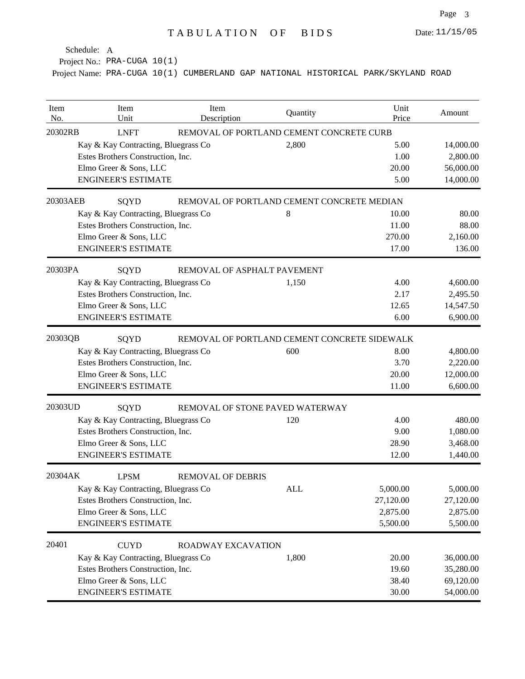Project No.: PRA-CUGA 10(1)

| Item<br>No. | Item<br>Unit                        | Item<br>Description         | Quantity                                     | Unit<br>Price | Amount    |
|-------------|-------------------------------------|-----------------------------|----------------------------------------------|---------------|-----------|
| 20302RB     | <b>LNFT</b>                         |                             | REMOVAL OF PORTLAND CEMENT CONCRETE CURB     |               |           |
|             | Kay & Kay Contracting, Bluegrass Co |                             | 2,800                                        | 5.00          | 14,000.00 |
|             | Estes Brothers Construction, Inc.   |                             |                                              | 1.00          | 2,800.00  |
|             | Elmo Greer & Sons, LLC              |                             |                                              | 20.00         | 56,000.00 |
|             | <b>ENGINEER'S ESTIMATE</b>          |                             |                                              | 5.00          | 14,000.00 |
| 20303AEB    | SQYD                                |                             | REMOVAL OF PORTLAND CEMENT CONCRETE MEDIAN   |               |           |
|             | Kay & Kay Contracting, Bluegrass Co |                             | 8                                            | 10.00         | 80.00     |
|             | Estes Brothers Construction, Inc.   |                             |                                              | 11.00         | 88.00     |
|             | Elmo Greer & Sons, LLC              |                             |                                              | 270.00        | 2,160.00  |
|             | <b>ENGINEER'S ESTIMATE</b>          |                             |                                              | 17.00         | 136.00    |
| 20303PA     | SQYD                                | REMOVAL OF ASPHALT PAVEMENT |                                              |               |           |
|             | Kay & Kay Contracting, Bluegrass Co |                             | 1,150                                        | 4.00          | 4,600.00  |
|             | Estes Brothers Construction, Inc.   |                             |                                              | 2.17          | 2,495.50  |
|             | Elmo Greer & Sons, LLC              |                             |                                              | 12.65         | 14,547.50 |
|             | <b>ENGINEER'S ESTIMATE</b>          |                             |                                              | 6.00          | 6,900.00  |
| 20303QB     | SQYD                                |                             | REMOVAL OF PORTLAND CEMENT CONCRETE SIDEWALK |               |           |
|             | Kay & Kay Contracting, Bluegrass Co |                             | 600                                          | 8.00          | 4,800.00  |
|             | Estes Brothers Construction, Inc.   |                             |                                              | 3.70          | 2,220.00  |
|             | Elmo Greer & Sons, LLC              |                             |                                              | 20.00         | 12,000.00 |
|             | <b>ENGINEER'S ESTIMATE</b>          |                             |                                              | 11.00         | 6,600.00  |
| 20303UD     | SQYD                                |                             | REMOVAL OF STONE PAVED WATERWAY              |               |           |
|             | Kay & Kay Contracting, Bluegrass Co |                             | 120                                          | 4.00          | 480.00    |
|             | Estes Brothers Construction, Inc.   |                             |                                              | 9.00          | 1,080.00  |
|             | Elmo Greer & Sons, LLC              |                             |                                              | 28.90         | 3,468.00  |
|             | <b>ENGINEER'S ESTIMATE</b>          |                             |                                              | 12.00         | 1,440.00  |
| 20304AK     | <b>LPSM</b>                         | <b>REMOVAL OF DEBRIS</b>    |                                              |               |           |
|             | Kay & Kay Contracting, Bluegrass Co |                             | <b>ALL</b>                                   | 5,000.00      | 5,000.00  |
|             | Estes Brothers Construction, Inc.   |                             |                                              | 27,120.00     | 27,120.00 |
|             | Elmo Greer & Sons, LLC              |                             |                                              | 2,875.00      | 2,875.00  |
|             | <b>ENGINEER'S ESTIMATE</b>          |                             |                                              | 5,500.00      | 5,500.00  |
| 20401       | <b>CUYD</b>                         | ROADWAY EXCAVATION          |                                              |               |           |
|             | Kay & Kay Contracting, Bluegrass Co |                             | 1,800                                        | 20.00         | 36,000.00 |
|             | Estes Brothers Construction, Inc.   |                             |                                              | 19.60         | 35,280.00 |
|             | Elmo Greer & Sons, LLC              |                             |                                              | 38.40         | 69,120.00 |
|             | <b>ENGINEER'S ESTIMATE</b>          |                             |                                              | 30.00         | 54,000.00 |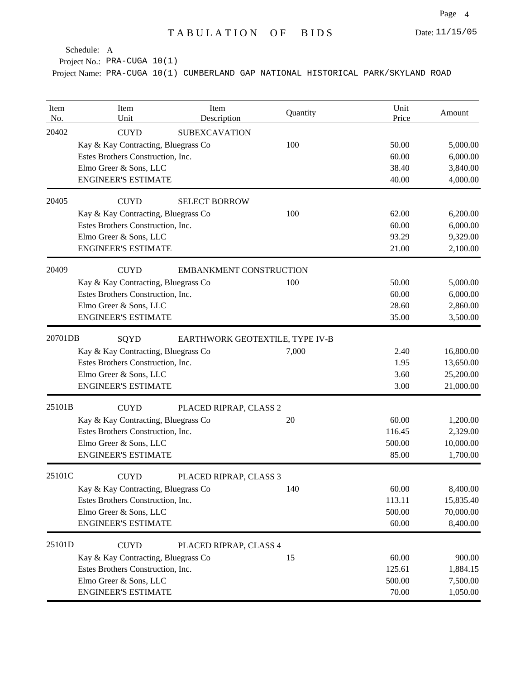Project No.: PRA-CUGA 10(1)

| Item<br>No. | Item<br>Unit                        | Item<br>Description             | Quantity | Unit<br>Price | Amount    |
|-------------|-------------------------------------|---------------------------------|----------|---------------|-----------|
| 20402       | <b>CUYD</b>                         | <b>SUBEXCAVATION</b>            |          |               |           |
|             | Kay & Kay Contracting, Bluegrass Co |                                 | 100      | 50.00         | 5,000.00  |
|             | Estes Brothers Construction, Inc.   |                                 |          | 60.00         | 6,000.00  |
|             | Elmo Greer & Sons, LLC              |                                 |          | 38.40         | 3,840.00  |
|             | <b>ENGINEER'S ESTIMATE</b>          |                                 |          | 40.00         | 4,000.00  |
| 20405       | <b>CUYD</b>                         | <b>SELECT BORROW</b>            |          |               |           |
|             | Kay & Kay Contracting, Bluegrass Co |                                 | 100      | 62.00         | 6,200.00  |
|             | Estes Brothers Construction, Inc.   |                                 |          | 60.00         | 6,000.00  |
|             | Elmo Greer & Sons, LLC              |                                 |          | 93.29         | 9,329.00  |
|             | <b>ENGINEER'S ESTIMATE</b>          |                                 |          | 21.00         | 2,100.00  |
| 20409       | <b>CUYD</b>                         | <b>EMBANKMENT CONSTRUCTION</b>  |          |               |           |
|             | Kay & Kay Contracting, Bluegrass Co |                                 | 100      | 50.00         | 5,000.00  |
|             | Estes Brothers Construction, Inc.   |                                 |          | 60.00         | 6,000.00  |
|             | Elmo Greer & Sons, LLC              |                                 |          | 28.60         | 2,860.00  |
|             | <b>ENGINEER'S ESTIMATE</b>          |                                 |          | 35.00         | 3,500.00  |
| 20701DB     | SQYD                                | EARTHWORK GEOTEXTILE, TYPE IV-B |          |               |           |
|             | Kay & Kay Contracting, Bluegrass Co |                                 | 7,000    | 2.40          | 16,800.00 |
|             | Estes Brothers Construction, Inc.   |                                 |          | 1.95          | 13,650.00 |
|             | Elmo Greer & Sons, LLC              |                                 |          | 3.60          | 25,200.00 |
|             | <b>ENGINEER'S ESTIMATE</b>          |                                 |          | 3.00          | 21,000.00 |
| 25101B      | <b>CUYD</b>                         | PLACED RIPRAP, CLASS 2          |          |               |           |
|             | Kay & Kay Contracting, Bluegrass Co |                                 | 20       | 60.00         | 1,200.00  |
|             | Estes Brothers Construction, Inc.   |                                 |          | 116.45        | 2,329.00  |
|             | Elmo Greer & Sons, LLC              |                                 |          | 500.00        | 10,000.00 |
|             | <b>ENGINEER'S ESTIMATE</b>          |                                 |          | 85.00         | 1,700.00  |
| 25101C      | <b>CUYD</b>                         | PLACED RIPRAP, CLASS 3          |          |               |           |
|             | Kay & Kay Contracting, Bluegrass Co |                                 | 140      | 60.00         | 8,400.00  |
|             | Estes Brothers Construction, Inc.   |                                 |          | 113.11        | 15,835.40 |
|             | Elmo Greer & Sons, LLC              |                                 |          | 500.00        | 70,000.00 |
|             | <b>ENGINEER'S ESTIMATE</b>          |                                 |          | 60.00         | 8,400.00  |
| 25101D      | <b>CUYD</b>                         | PLACED RIPRAP, CLASS 4          |          |               |           |
|             | Kay & Kay Contracting, Bluegrass Co |                                 | 15       | 60.00         | 900.00    |
|             | Estes Brothers Construction, Inc.   |                                 |          | 125.61        | 1,884.15  |
|             | Elmo Greer & Sons, LLC              |                                 |          | 500.00        | 7,500.00  |
|             | <b>ENGINEER'S ESTIMATE</b>          |                                 |          | 70.00         | 1,050.00  |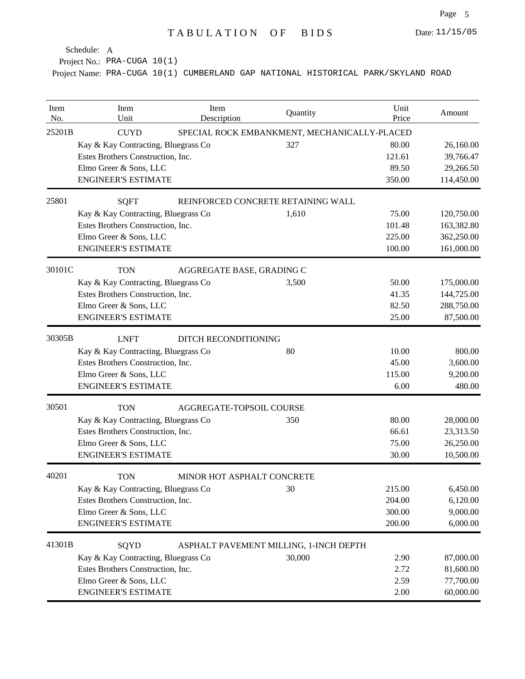Project No.: PRA-CUGA 10(1)

| Item<br>No. | Item<br>Unit                        | Item<br>Description                          | Quantity                               | Unit<br>Price | Amount     |  |  |  |  |
|-------------|-------------------------------------|----------------------------------------------|----------------------------------------|---------------|------------|--|--|--|--|
| 25201B      | <b>CUYD</b>                         | SPECIAL ROCK EMBANKMENT, MECHANICALLY-PLACED |                                        |               |            |  |  |  |  |
|             | Kay & Kay Contracting, Bluegrass Co |                                              | 327                                    | 80.00         | 26,160.00  |  |  |  |  |
|             | Estes Brothers Construction, Inc.   |                                              |                                        | 121.61        | 39,766.47  |  |  |  |  |
|             | Elmo Greer & Sons, LLC              |                                              |                                        | 89.50         | 29,266.50  |  |  |  |  |
|             | <b>ENGINEER'S ESTIMATE</b>          |                                              |                                        | 350.00        | 114,450.00 |  |  |  |  |
| 25801       | <b>SQFT</b>                         |                                              | REINFORCED CONCRETE RETAINING WALL     |               |            |  |  |  |  |
|             | Kay & Kay Contracting, Bluegrass Co |                                              | 1,610                                  | 75.00         | 120,750.00 |  |  |  |  |
|             | Estes Brothers Construction, Inc.   |                                              |                                        | 101.48        | 163,382.80 |  |  |  |  |
|             | Elmo Greer & Sons, LLC              |                                              |                                        | 225.00        | 362,250.00 |  |  |  |  |
|             | <b>ENGINEER'S ESTIMATE</b>          |                                              |                                        | 100.00        | 161,000.00 |  |  |  |  |
| 30101C      | <b>TON</b>                          | AGGREGATE BASE, GRADING C                    |                                        |               |            |  |  |  |  |
|             | Kay & Kay Contracting, Bluegrass Co |                                              | 3,500                                  | 50.00         | 175,000.00 |  |  |  |  |
|             | Estes Brothers Construction, Inc.   |                                              |                                        | 41.35         | 144,725.00 |  |  |  |  |
|             | Elmo Greer & Sons, LLC              |                                              |                                        | 82.50         | 288,750.00 |  |  |  |  |
|             | <b>ENGINEER'S ESTIMATE</b>          |                                              |                                        | 25.00         | 87,500.00  |  |  |  |  |
| 30305B      | <b>LNFT</b>                         | <b>DITCH RECONDITIONING</b>                  |                                        |               |            |  |  |  |  |
|             | Kay & Kay Contracting, Bluegrass Co |                                              | 80                                     | 10.00         | 800.00     |  |  |  |  |
|             | Estes Brothers Construction, Inc.   |                                              |                                        | 45.00         | 3,600.00   |  |  |  |  |
|             | Elmo Greer & Sons, LLC              |                                              |                                        | 115.00        | 9,200.00   |  |  |  |  |
|             | <b>ENGINEER'S ESTIMATE</b>          |                                              |                                        | 6.00          | 480.00     |  |  |  |  |
| 30501       | <b>TON</b>                          | AGGREGATE-TOPSOIL COURSE                     |                                        |               |            |  |  |  |  |
|             | Kay & Kay Contracting, Bluegrass Co |                                              | 350                                    | 80.00         | 28,000.00  |  |  |  |  |
|             | Estes Brothers Construction, Inc.   |                                              |                                        | 66.61         | 23,313.50  |  |  |  |  |
|             | Elmo Greer & Sons, LLC              |                                              |                                        | 75.00         | 26,250.00  |  |  |  |  |
|             | <b>ENGINEER'S ESTIMATE</b>          |                                              |                                        | 30.00         | 10,500.00  |  |  |  |  |
| 40201       | <b>TON</b>                          | MINOR HOT ASPHALT CONCRETE                   |                                        |               |            |  |  |  |  |
|             | Kay & Kay Contracting, Bluegrass Co |                                              | 30                                     | 215.00        | 6,450.00   |  |  |  |  |
|             | Estes Brothers Construction, Inc.   |                                              |                                        | 204.00        | 6,120.00   |  |  |  |  |
|             | Elmo Greer & Sons, LLC              |                                              |                                        | 300.00        | 9,000.00   |  |  |  |  |
|             | <b>ENGINEER'S ESTIMATE</b>          |                                              |                                        | 200.00        | 6,000.00   |  |  |  |  |
| 41301B      | SQYD                                |                                              | ASPHALT PAVEMENT MILLING, 1-INCH DEPTH |               |            |  |  |  |  |
|             | Kay & Kay Contracting, Bluegrass Co |                                              | 30,000                                 | 2.90          | 87,000.00  |  |  |  |  |
|             | Estes Brothers Construction, Inc.   |                                              |                                        | 2.72          | 81,600.00  |  |  |  |  |
|             | Elmo Greer & Sons, LLC              |                                              |                                        | 2.59          | 77,700.00  |  |  |  |  |
|             | <b>ENGINEER'S ESTIMATE</b>          |                                              |                                        | 2.00          | 60,000.00  |  |  |  |  |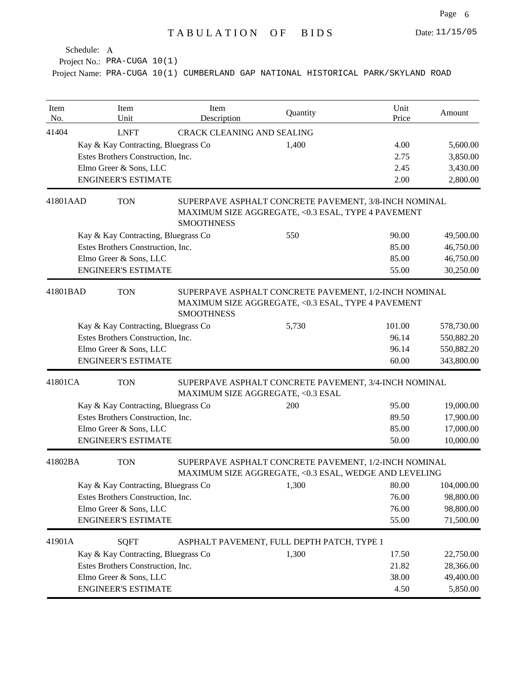Project No.: PRA-CUGA 10(1)

| Item<br>No. | Item<br>Unit                        | Item<br>Description               | Quantity                                                                                                       | Unit<br>Price | Amount     |
|-------------|-------------------------------------|-----------------------------------|----------------------------------------------------------------------------------------------------------------|---------------|------------|
| 41404       | <b>LNFT</b>                         | <b>CRACK CLEANING AND SEALING</b> |                                                                                                                |               |            |
|             | Kay & Kay Contracting, Bluegrass Co |                                   | 1,400                                                                                                          | 4.00          | 5,600.00   |
|             | Estes Brothers Construction, Inc.   |                                   |                                                                                                                | 2.75          | 3,850.00   |
|             | Elmo Greer & Sons, LLC              |                                   |                                                                                                                | 2.45          | 3,430.00   |
|             | <b>ENGINEER'S ESTIMATE</b>          |                                   |                                                                                                                | 2.00          | 2,800.00   |
| 41801AAD    | <b>TON</b>                          | <b>SMOOTHNESS</b>                 | SUPERPAVE ASPHALT CONCRETE PAVEMENT, 3/8-INCH NOMINAL<br>MAXIMUM SIZE AGGREGATE, <0.3 ESAL, TYPE 4 PAVEMENT    |               |            |
|             | Kay & Kay Contracting, Bluegrass Co |                                   | 550                                                                                                            | 90.00         | 49,500.00  |
|             | Estes Brothers Construction, Inc.   |                                   |                                                                                                                | 85.00         | 46,750.00  |
|             | Elmo Greer & Sons, LLC              |                                   |                                                                                                                | 85.00         | 46,750.00  |
|             | <b>ENGINEER'S ESTIMATE</b>          |                                   |                                                                                                                | 55.00         | 30,250.00  |
| 41801BAD    | <b>TON</b>                          | <b>SMOOTHNESS</b>                 | SUPERPAVE ASPHALT CONCRETE PAVEMENT, 1/2-INCH NOMINAL<br>MAXIMUM SIZE AGGREGATE, <0.3 ESAL, TYPE 4 PAVEMENT    |               |            |
|             | Kay & Kay Contracting, Bluegrass Co |                                   | 5,730                                                                                                          | 101.00        | 578,730.00 |
|             | Estes Brothers Construction, Inc.   |                                   |                                                                                                                | 96.14         | 550,882.20 |
|             | Elmo Greer & Sons, LLC              |                                   |                                                                                                                | 96.14         | 550,882.20 |
|             | <b>ENGINEER'S ESTIMATE</b>          |                                   |                                                                                                                | 60.00         | 343,800.00 |
| 41801CA     | <b>TON</b>                          | MAXIMUM SIZE AGGREGATE, <0.3 ESAL | SUPERPAVE ASPHALT CONCRETE PAVEMENT, 3/4-INCH NOMINAL                                                          |               |            |
|             | Kay & Kay Contracting, Bluegrass Co |                                   | 200                                                                                                            | 95.00         | 19,000.00  |
|             | Estes Brothers Construction, Inc.   |                                   |                                                                                                                | 89.50         | 17,900.00  |
|             | Elmo Greer & Sons, LLC              |                                   |                                                                                                                | 85.00         | 17,000.00  |
|             | <b>ENGINEER'S ESTIMATE</b>          |                                   |                                                                                                                | 50.00         | 10,000.00  |
| 41802BA     | <b>TON</b>                          |                                   | SUPERPAVE ASPHALT CONCRETE PAVEMENT, 1/2-INCH NOMINAL<br>MAXIMUM SIZE AGGREGATE, <0.3 ESAL, WEDGE AND LEVELING |               |            |
|             | Kay & Kay Contracting, Bluegrass Co |                                   | 1,300                                                                                                          | 80.00         | 104,000.00 |
|             | Estes Brothers Construction, Inc.   |                                   |                                                                                                                | 76.00         | 98,800.00  |
|             | Elmo Greer & Sons, LLC              |                                   |                                                                                                                | 76.00         | 98,800.00  |
|             | <b>ENGINEER'S ESTIMATE</b>          |                                   |                                                                                                                | 55.00         | 71,500.00  |
| 41901A      | <b>SQFT</b>                         |                                   | ASPHALT PAVEMENT, FULL DEPTH PATCH, TYPE 1                                                                     |               |            |
|             | Kay & Kay Contracting, Bluegrass Co |                                   | 1,300                                                                                                          | 17.50         | 22,750.00  |
|             | Estes Brothers Construction, Inc.   |                                   |                                                                                                                | 21.82         | 28,366.00  |
|             | Elmo Greer & Sons, LLC              |                                   |                                                                                                                | 38.00         | 49,400.00  |
|             | <b>ENGINEER'S ESTIMATE</b>          |                                   |                                                                                                                | 4.50          | 5,850.00   |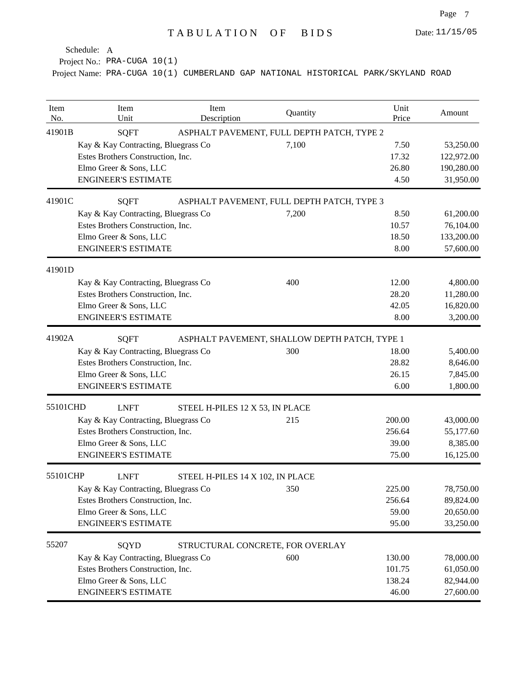Project No.: PRA-CUGA 10(1)

| Item<br>No. | Item<br>Unit                                              | Item<br>Description              | Quantity                                      | Unit<br>Price | Amount     |
|-------------|-----------------------------------------------------------|----------------------------------|-----------------------------------------------|---------------|------------|
| 41901B      | <b>SQFT</b><br>ASPHALT PAVEMENT, FULL DEPTH PATCH, TYPE 2 |                                  |                                               |               |            |
|             | Kay & Kay Contracting, Bluegrass Co                       |                                  | 7,100                                         | 7.50          | 53,250.00  |
|             | Estes Brothers Construction, Inc.                         |                                  |                                               | 17.32         | 122,972.00 |
|             | Elmo Greer & Sons, LLC                                    |                                  |                                               | 26.80         | 190,280.00 |
|             | <b>ENGINEER'S ESTIMATE</b>                                |                                  |                                               | 4.50          | 31,950.00  |
| 41901C      | <b>SQFT</b>                                               |                                  | ASPHALT PAVEMENT, FULL DEPTH PATCH, TYPE 3    |               |            |
|             | Kay & Kay Contracting, Bluegrass Co                       |                                  | 7,200                                         | 8.50          | 61,200.00  |
|             | Estes Brothers Construction, Inc.                         |                                  |                                               | 10.57         | 76,104.00  |
|             | Elmo Greer & Sons, LLC                                    |                                  |                                               | 18.50         | 133,200.00 |
|             | <b>ENGINEER'S ESTIMATE</b>                                |                                  |                                               | 8.00          | 57,600.00  |
| 41901D      |                                                           |                                  |                                               |               |            |
|             | Kay & Kay Contracting, Bluegrass Co                       |                                  | 400                                           | 12.00         | 4,800.00   |
|             | Estes Brothers Construction, Inc.                         |                                  |                                               | 28.20         | 11,280.00  |
|             | Elmo Greer & Sons, LLC                                    |                                  |                                               | 42.05         | 16,820.00  |
|             | <b>ENGINEER'S ESTIMATE</b>                                |                                  |                                               | 8.00          | 3,200.00   |
| 41902A      | <b>SQFT</b>                                               |                                  | ASPHALT PAVEMENT, SHALLOW DEPTH PATCH, TYPE 1 |               |            |
|             | Kay & Kay Contracting, Bluegrass Co                       |                                  | 300                                           | 18.00         | 5,400.00   |
|             | Estes Brothers Construction, Inc.                         |                                  |                                               | 28.82         | 8,646.00   |
|             | Elmo Greer & Sons, LLC                                    |                                  |                                               | 26.15         | 7,845.00   |
|             | <b>ENGINEER'S ESTIMATE</b>                                |                                  |                                               | 6.00          | 1,800.00   |
| 55101CHD    | <b>LNFT</b>                                               | STEEL H-PILES 12 X 53, IN PLACE  |                                               |               |            |
|             | Kay & Kay Contracting, Bluegrass Co                       |                                  | 215                                           | 200.00        | 43,000.00  |
|             | Estes Brothers Construction, Inc.                         |                                  |                                               | 256.64        | 55,177.60  |
|             | Elmo Greer & Sons, LLC                                    |                                  |                                               | 39.00         | 8,385.00   |
|             | <b>ENGINEER'S ESTIMATE</b>                                |                                  |                                               | 75.00         | 16,125.00  |
| 55101CHP    | <b>LNFT</b>                                               | STEEL H-PILES 14 X 102, IN PLACE |                                               |               |            |
|             | Kay & Kay Contracting, Bluegrass Co                       |                                  | 350                                           | 225.00        | 78,750.00  |
|             | Estes Brothers Construction, Inc.                         |                                  |                                               | 256.64        | 89,824.00  |
|             | Elmo Greer & Sons, LLC                                    |                                  |                                               | 59.00         | 20,650.00  |
|             | <b>ENGINEER'S ESTIMATE</b>                                |                                  |                                               | 95.00         | 33,250.00  |
| 55207       | SQYD                                                      |                                  | STRUCTURAL CONCRETE, FOR OVERLAY              |               |            |
|             | Kay & Kay Contracting, Bluegrass Co                       |                                  | 600                                           | 130.00        | 78,000.00  |
|             | Estes Brothers Construction, Inc.                         |                                  |                                               | 101.75        | 61,050.00  |
|             | Elmo Greer & Sons, LLC                                    |                                  |                                               | 138.24        | 82,944.00  |
|             | <b>ENGINEER'S ESTIMATE</b>                                |                                  |                                               | 46.00         | 27,600.00  |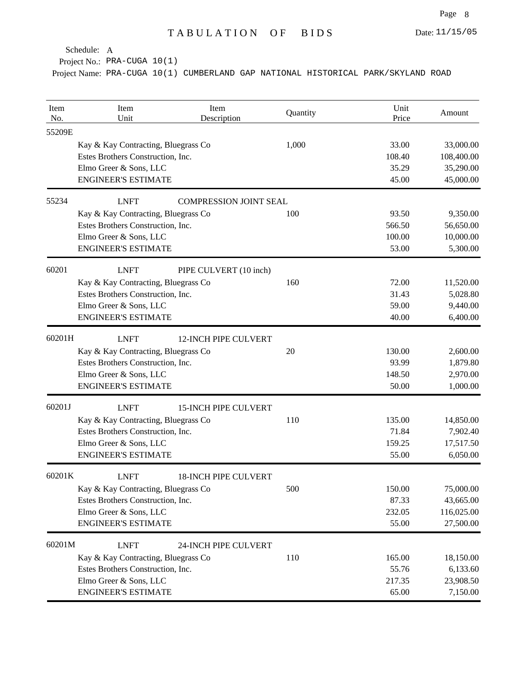Project No.: PRA-CUGA 10(1)

| Item<br>No. | Item<br>Unit                        | Item<br>Description           | Quantity | Unit<br>Price | Amount     |
|-------------|-------------------------------------|-------------------------------|----------|---------------|------------|
| 55209E      |                                     |                               |          |               |            |
|             | Kay & Kay Contracting, Bluegrass Co |                               | 1,000    | 33.00         | 33,000.00  |
|             | Estes Brothers Construction, Inc.   |                               |          | 108.40        | 108,400.00 |
|             | Elmo Greer & Sons, LLC              |                               |          | 35.29         | 35,290.00  |
|             | <b>ENGINEER'S ESTIMATE</b>          |                               |          | 45.00         | 45,000.00  |
| 55234       | <b>LNFT</b>                         | <b>COMPRESSION JOINT SEAL</b> |          |               |            |
|             | Kay & Kay Contracting, Bluegrass Co |                               | 100      | 93.50         | 9,350.00   |
|             | Estes Brothers Construction, Inc.   |                               |          | 566.50        | 56,650.00  |
|             | Elmo Greer & Sons, LLC              |                               |          | 100.00        | 10,000.00  |
|             | <b>ENGINEER'S ESTIMATE</b>          |                               |          | 53.00         | 5,300.00   |
| 60201       | <b>LNFT</b>                         | PIPE CULVERT (10 inch)        |          |               |            |
|             | Kay & Kay Contracting, Bluegrass Co |                               | 160      | 72.00         | 11,520.00  |
|             | Estes Brothers Construction, Inc.   |                               |          | 31.43         | 5,028.80   |
|             | Elmo Greer & Sons, LLC              |                               |          | 59.00         | 9,440.00   |
|             | <b>ENGINEER'S ESTIMATE</b>          |                               |          | 40.00         | 6,400.00   |
| 60201H      | <b>LNFT</b>                         | <b>12-INCH PIPE CULVERT</b>   |          |               |            |
|             | Kay & Kay Contracting, Bluegrass Co |                               | 20       | 130.00        | 2,600.00   |
|             | Estes Brothers Construction, Inc.   |                               |          | 93.99         | 1,879.80   |
|             | Elmo Greer & Sons, LLC              |                               |          | 148.50        | 2,970.00   |
|             | <b>ENGINEER'S ESTIMATE</b>          |                               |          | 50.00         | 1,000.00   |
| 60201J      | <b>LNFT</b>                         | <b>15-INCH PIPE CULVERT</b>   |          |               |            |
|             | Kay & Kay Contracting, Bluegrass Co |                               | 110      | 135.00        | 14,850.00  |
|             | Estes Brothers Construction, Inc.   |                               |          | 71.84         | 7,902.40   |
|             | Elmo Greer & Sons, LLC              |                               |          | 159.25        | 17,517.50  |
|             | <b>ENGINEER'S ESTIMATE</b>          |                               |          | 55.00         | 6,050.00   |
| 60201K      | <b>LNFT</b>                         | <b>18-INCH PIPE CULVERT</b>   |          |               |            |
|             | Kay & Kay Contracting, Bluegrass Co |                               | 500      | 150.00        | 75,000.00  |
|             | Estes Brothers Construction, Inc.   |                               |          | 87.33         | 43,665.00  |
|             | Elmo Greer & Sons, LLC              |                               |          | 232.05        | 116,025.00 |
|             | <b>ENGINEER'S ESTIMATE</b>          |                               |          | 55.00         | 27,500.00  |
| 60201M      | <b>LNFT</b>                         | 24-INCH PIPE CULVERT          |          |               |            |
|             | Kay & Kay Contracting, Bluegrass Co |                               | 110      | 165.00        | 18,150.00  |
|             | Estes Brothers Construction, Inc.   |                               |          | 55.76         | 6,133.60   |
|             | Elmo Greer & Sons, LLC              |                               |          | 217.35        | 23,908.50  |
|             | <b>ENGINEER'S ESTIMATE</b>          |                               |          | 65.00         | 7,150.00   |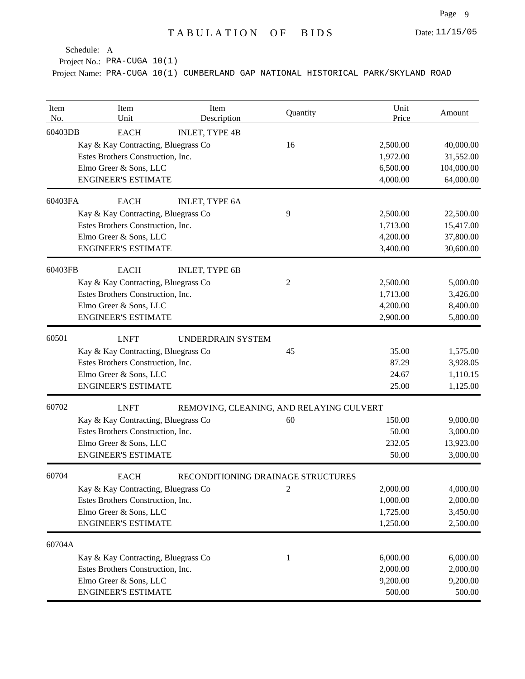Project No.: PRA-CUGA 10(1)

| Item<br>No. | Item<br>Unit                        | Item<br>Description                      | Quantity     | Unit<br>Price | Amount     |
|-------------|-------------------------------------|------------------------------------------|--------------|---------------|------------|
| 60403DB     | <b>EACH</b>                         | <b>INLET, TYPE 4B</b>                    |              |               |            |
|             | Kay & Kay Contracting, Bluegrass Co |                                          | 16           | 2,500.00      | 40,000.00  |
|             | Estes Brothers Construction, Inc.   |                                          |              | 1,972.00      | 31,552.00  |
|             | Elmo Greer & Sons, LLC              |                                          |              | 6,500.00      | 104,000.00 |
|             | <b>ENGINEER'S ESTIMATE</b>          |                                          |              | 4,000.00      | 64,000.00  |
| 60403FA     | <b>EACH</b>                         | <b>INLET, TYPE 6A</b>                    |              |               |            |
|             | Kay & Kay Contracting, Bluegrass Co |                                          | 9            | 2,500.00      | 22,500.00  |
|             | Estes Brothers Construction, Inc.   |                                          |              | 1,713.00      | 15,417.00  |
|             | Elmo Greer & Sons, LLC              |                                          |              | 4,200.00      | 37,800.00  |
|             | <b>ENGINEER'S ESTIMATE</b>          |                                          |              | 3,400.00      | 30,600.00  |
| 60403FB     | <b>EACH</b>                         | <b>INLET, TYPE 6B</b>                    |              |               |            |
|             | Kay & Kay Contracting, Bluegrass Co |                                          | 2            | 2,500.00      | 5,000.00   |
|             | Estes Brothers Construction, Inc.   |                                          |              | 1,713.00      | 3,426.00   |
|             | Elmo Greer & Sons, LLC              |                                          |              | 4,200.00      | 8,400.00   |
|             | <b>ENGINEER'S ESTIMATE</b>          |                                          |              | 2,900.00      | 5,800.00   |
| 60501       | <b>LNFT</b>                         | <b>UNDERDRAIN SYSTEM</b>                 |              |               |            |
|             | Kay & Kay Contracting, Bluegrass Co |                                          | 45           | 35.00         | 1,575.00   |
|             | Estes Brothers Construction, Inc.   |                                          |              | 87.29         | 3,928.05   |
|             | Elmo Greer & Sons, LLC              |                                          |              | 24.67         | 1,110.15   |
|             | <b>ENGINEER'S ESTIMATE</b>          |                                          |              | 25.00         | 1,125.00   |
| 60702       | <b>LNFT</b>                         | REMOVING, CLEANING, AND RELAYING CULVERT |              |               |            |
|             | Kay & Kay Contracting, Bluegrass Co |                                          | 60           | 150.00        | 9,000.00   |
|             | Estes Brothers Construction, Inc.   |                                          |              | 50.00         | 3,000.00   |
|             | Elmo Greer & Sons, LLC              |                                          |              | 232.05        | 13,923.00  |
|             | <b>ENGINEER'S ESTIMATE</b>          |                                          |              | 50.00         | 3,000.00   |
| 60704       | <b>EACH</b>                         | RECONDITIONING DRAINAGE STRUCTURES       |              |               |            |
|             | Kay & Kay Contracting, Bluegrass Co |                                          | $\sqrt{2}$   | 2,000.00      | 4,000.00   |
|             | Estes Brothers Construction, Inc.   |                                          |              | 1,000.00      | 2,000.00   |
|             | Elmo Greer & Sons, LLC              |                                          |              | 1,725.00      | 3,450.00   |
|             | <b>ENGINEER'S ESTIMATE</b>          |                                          |              | 1,250.00      | 2,500.00   |
| 60704A      |                                     |                                          |              |               |            |
|             | Kay & Kay Contracting, Bluegrass Co |                                          | $\mathbf{1}$ | 6,000.00      | 6,000.00   |
|             | Estes Brothers Construction, Inc.   |                                          |              | 2,000.00      | 2,000.00   |
|             | Elmo Greer & Sons, LLC              |                                          |              | 9,200.00      | 9,200.00   |
|             | <b>ENGINEER'S ESTIMATE</b>          |                                          |              | 500.00        | 500.00     |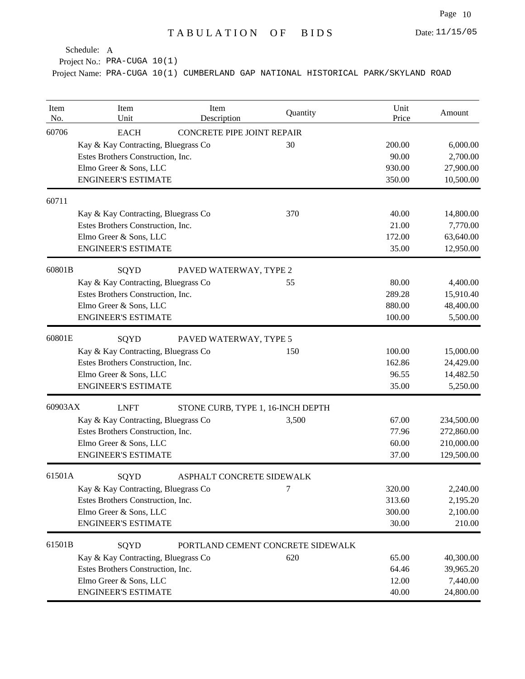Project No.: PRA-CUGA 10(1)

| Item<br>No. | Item<br>Unit                        | Item<br>Description               | Quantity                          | Unit<br>Price | Amount     |
|-------------|-------------------------------------|-----------------------------------|-----------------------------------|---------------|------------|
| 60706       | <b>EACH</b>                         | CONCRETE PIPE JOINT REPAIR        |                                   |               |            |
|             | Kay & Kay Contracting, Bluegrass Co |                                   | 30                                | 200.00        | 6,000.00   |
|             | Estes Brothers Construction, Inc.   |                                   |                                   | 90.00         | 2,700.00   |
|             | Elmo Greer & Sons, LLC              |                                   |                                   | 930.00        | 27,900.00  |
|             | <b>ENGINEER'S ESTIMATE</b>          |                                   |                                   | 350.00        | 10,500.00  |
| 60711       |                                     |                                   |                                   |               |            |
|             | Kay & Kay Contracting, Bluegrass Co |                                   | 370                               | 40.00         | 14,800.00  |
|             | Estes Brothers Construction, Inc.   |                                   |                                   | 21.00         | 7,770.00   |
|             | Elmo Greer & Sons, LLC              |                                   |                                   | 172.00        | 63,640.00  |
|             | <b>ENGINEER'S ESTIMATE</b>          |                                   |                                   | 35.00         | 12,950.00  |
| 60801B      | SQYD                                | PAVED WATERWAY, TYPE 2            |                                   |               |            |
|             | Kay & Kay Contracting, Bluegrass Co |                                   | 55                                | 80.00         | 4,400.00   |
|             | Estes Brothers Construction, Inc.   |                                   |                                   | 289.28        | 15,910.40  |
|             | Elmo Greer & Sons, LLC              |                                   |                                   | 880.00        | 48,400.00  |
|             | <b>ENGINEER'S ESTIMATE</b>          |                                   |                                   | 100.00        | 5,500.00   |
| 60801E      | SQYD                                | PAVED WATERWAY, TYPE 5            |                                   |               |            |
|             | Kay & Kay Contracting, Bluegrass Co |                                   | 150                               | 100.00        | 15,000.00  |
|             | Estes Brothers Construction, Inc.   |                                   |                                   | 162.86        | 24,429.00  |
|             | Elmo Greer & Sons, LLC              |                                   |                                   | 96.55         | 14,482.50  |
|             | <b>ENGINEER'S ESTIMATE</b>          |                                   |                                   | 35.00         | 5,250.00   |
| 60903AX     | <b>LNFT</b>                         | STONE CURB, TYPE 1, 16-INCH DEPTH |                                   |               |            |
|             | Kay & Kay Contracting, Bluegrass Co |                                   | 3,500                             | 67.00         | 234,500.00 |
|             | Estes Brothers Construction, Inc.   |                                   |                                   | 77.96         | 272,860.00 |
|             | Elmo Greer & Sons, LLC              |                                   |                                   | 60.00         | 210,000.00 |
|             | <b>ENGINEER'S ESTIMATE</b>          |                                   |                                   | 37.00         | 129,500.00 |
| 61501A      | SQYD                                | ASPHALT CONCRETE SIDEWALK         |                                   |               |            |
|             | Kay & Kay Contracting, Bluegrass Co |                                   | 7                                 | 320.00        | 2,240.00   |
|             | Estes Brothers Construction, Inc.   |                                   |                                   | 313.60        | 2,195.20   |
|             | Elmo Greer & Sons, LLC              |                                   |                                   | 300.00        | 2,100.00   |
|             | <b>ENGINEER'S ESTIMATE</b>          |                                   |                                   | 30.00         | 210.00     |
| 61501B      | SQYD                                |                                   | PORTLAND CEMENT CONCRETE SIDEWALK |               |            |
|             | Kay & Kay Contracting, Bluegrass Co |                                   | 620                               | 65.00         | 40,300.00  |
|             | Estes Brothers Construction, Inc.   |                                   |                                   | 64.46         | 39,965.20  |
|             | Elmo Greer & Sons, LLC              |                                   |                                   | 12.00         | 7,440.00   |
|             | <b>ENGINEER'S ESTIMATE</b>          |                                   |                                   | 40.00         | 24,800.00  |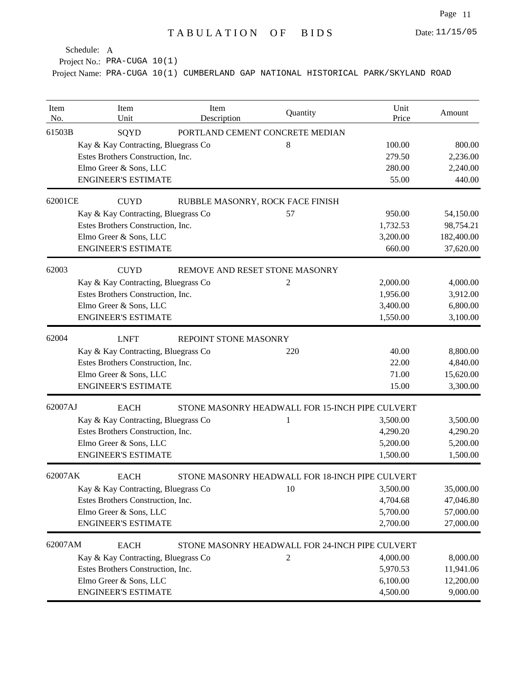Project No.: PRA-CUGA 10(1)

| Item<br>No. | Item<br>Unit                        | Item<br>Description              | Quantity                                        | Unit<br>Price | Amount     |
|-------------|-------------------------------------|----------------------------------|-------------------------------------------------|---------------|------------|
| 61503B      | SQYD                                |                                  | PORTLAND CEMENT CONCRETE MEDIAN                 |               |            |
|             | Kay & Kay Contracting, Bluegrass Co |                                  | 8                                               | 100.00        | 800.00     |
|             | Estes Brothers Construction, Inc.   |                                  |                                                 | 279.50        | 2,236.00   |
|             | Elmo Greer & Sons, LLC              |                                  |                                                 | 280.00        | 2,240.00   |
|             | <b>ENGINEER'S ESTIMATE</b>          |                                  |                                                 | 55.00         | 440.00     |
| 62001CE     | <b>CUYD</b>                         | RUBBLE MASONRY, ROCK FACE FINISH |                                                 |               |            |
|             | Kay & Kay Contracting, Bluegrass Co |                                  | 57                                              | 950.00        | 54,150.00  |
|             | Estes Brothers Construction, Inc.   |                                  |                                                 | 1,732.53      | 98,754.21  |
|             | Elmo Greer & Sons, LLC              |                                  |                                                 | 3,200.00      | 182,400.00 |
|             | <b>ENGINEER'S ESTIMATE</b>          |                                  |                                                 | 660.00        | 37,620.00  |
| 62003       | <b>CUYD</b>                         | REMOVE AND RESET STONE MASONRY   |                                                 |               |            |
|             | Kay & Kay Contracting, Bluegrass Co |                                  | 2                                               | 2,000.00      | 4,000.00   |
|             | Estes Brothers Construction, Inc.   |                                  |                                                 | 1,956.00      | 3,912.00   |
|             | Elmo Greer & Sons, LLC              |                                  |                                                 | 3,400.00      | 6,800.00   |
|             | <b>ENGINEER'S ESTIMATE</b>          |                                  |                                                 | 1,550.00      | 3,100.00   |
| 62004       | <b>LNFT</b>                         | REPOINT STONE MASONRY            |                                                 |               |            |
|             | Kay & Kay Contracting, Bluegrass Co |                                  | 220                                             | 40.00         | 8,800.00   |
|             | Estes Brothers Construction, Inc.   |                                  |                                                 | 22.00         | 4,840.00   |
|             | Elmo Greer & Sons, LLC              |                                  |                                                 | 71.00         | 15,620.00  |
|             | <b>ENGINEER'S ESTIMATE</b>          |                                  |                                                 | 15.00         | 3,300.00   |
| 62007AJ     | <b>EACH</b>                         |                                  | STONE MASONRY HEADWALL FOR 15-INCH PIPE CULVERT |               |            |
|             | Kay & Kay Contracting, Bluegrass Co |                                  | 1                                               | 3,500.00      | 3,500.00   |
|             | Estes Brothers Construction, Inc.   |                                  |                                                 | 4,290.20      | 4,290.20   |
|             | Elmo Greer & Sons, LLC              |                                  |                                                 | 5,200.00      | 5,200.00   |
|             | <b>ENGINEER'S ESTIMATE</b>          |                                  |                                                 | 1,500.00      | 1,500.00   |
| 62007AK     | <b>EACH</b>                         |                                  | STONE MASONRY HEADWALL FOR 18-INCH PIPE CULVERT |               |            |
|             | Kay & Kay Contracting, Bluegrass Co |                                  | 10                                              | 3,500.00      | 35,000.00  |
|             | Estes Brothers Construction, Inc.   |                                  |                                                 | 4,704.68      | 47,046.80  |
|             | Elmo Greer & Sons, LLC              |                                  |                                                 | 5,700.00      | 57,000.00  |
|             | <b>ENGINEER'S ESTIMATE</b>          |                                  |                                                 | 2,700.00      | 27,000.00  |
| 62007AM     | <b>EACH</b>                         |                                  | STONE MASONRY HEADWALL FOR 24-INCH PIPE CULVERT |               |            |
|             | Kay & Kay Contracting, Bluegrass Co |                                  | $\overline{c}$                                  | 4,000.00      | 8,000.00   |
|             | Estes Brothers Construction, Inc.   |                                  |                                                 | 5,970.53      | 11,941.06  |
|             | Elmo Greer & Sons, LLC              |                                  |                                                 | 6,100.00      | 12,200.00  |
|             | <b>ENGINEER'S ESTIMATE</b>          |                                  |                                                 | 4,500.00      | 9,000.00   |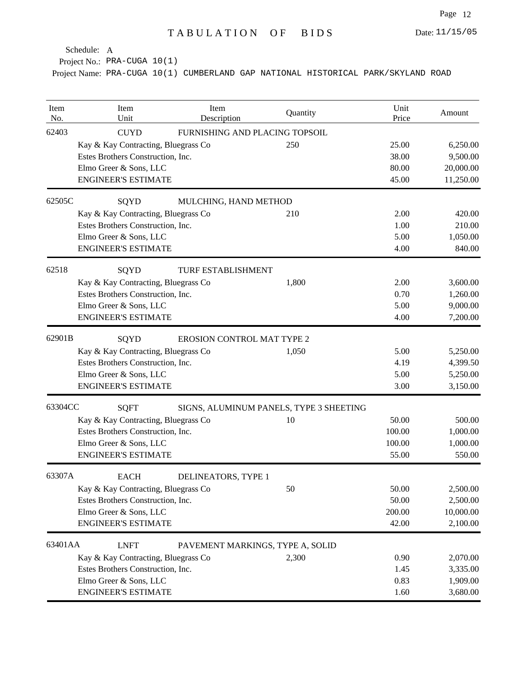Project No.: PRA-CUGA 10(1)

| Item<br>No. | Item<br>Unit                        | Item<br>Description               | Quantity                                | Unit<br>Price | Amount    |
|-------------|-------------------------------------|-----------------------------------|-----------------------------------------|---------------|-----------|
| 62403       | <b>CUYD</b>                         | FURNISHING AND PLACING TOPSOIL    |                                         |               |           |
|             | Kay & Kay Contracting, Bluegrass Co |                                   | 250                                     | 25.00         | 6,250.00  |
|             | Estes Brothers Construction, Inc.   |                                   |                                         | 38.00         | 9,500.00  |
|             | Elmo Greer & Sons, LLC              |                                   |                                         | 80.00         | 20,000.00 |
|             | <b>ENGINEER'S ESTIMATE</b>          |                                   |                                         | 45.00         | 11,250.00 |
| 62505C      | SQYD                                | MULCHING, HAND METHOD             |                                         |               |           |
|             | Kay & Kay Contracting, Bluegrass Co |                                   | 210                                     | 2.00          | 420.00    |
|             | Estes Brothers Construction, Inc.   |                                   |                                         | 1.00          | 210.00    |
|             | Elmo Greer & Sons, LLC              |                                   |                                         | 5.00          | 1,050.00  |
|             | <b>ENGINEER'S ESTIMATE</b>          |                                   |                                         | 4.00          | 840.00    |
| 62518       | SQYD                                | <b>TURF ESTABLISHMENT</b>         |                                         |               |           |
|             | Kay & Kay Contracting, Bluegrass Co |                                   | 1,800                                   | 2.00          | 3,600.00  |
|             | Estes Brothers Construction, Inc.   |                                   |                                         | 0.70          | 1,260.00  |
|             | Elmo Greer & Sons, LLC              |                                   |                                         | 5.00          | 9,000.00  |
|             | <b>ENGINEER'S ESTIMATE</b>          |                                   |                                         | 4.00          | 7,200.00  |
| 62901B      | SQYD                                | <b>EROSION CONTROL MAT TYPE 2</b> |                                         |               |           |
|             | Kay & Kay Contracting, Bluegrass Co |                                   | 1,050                                   | 5.00          | 5,250.00  |
|             | Estes Brothers Construction, Inc.   |                                   |                                         | 4.19          | 4,399.50  |
|             | Elmo Greer & Sons, LLC              |                                   |                                         | 5.00          | 5,250.00  |
|             | <b>ENGINEER'S ESTIMATE</b>          |                                   |                                         | 3.00          | 3,150.00  |
| 63304CC     | <b>SQFT</b>                         |                                   | SIGNS, ALUMINUM PANELS, TYPE 3 SHEETING |               |           |
|             | Kay & Kay Contracting, Bluegrass Co |                                   | 10                                      | 50.00         | 500.00    |
|             | Estes Brothers Construction, Inc.   |                                   |                                         | 100.00        | 1,000.00  |
|             | Elmo Greer & Sons, LLC              |                                   |                                         | 100.00        | 1,000.00  |
|             | <b>ENGINEER'S ESTIMATE</b>          |                                   |                                         | 55.00         | 550.00    |
| 63307A      | <b>EACH</b>                         | DELINEATORS, TYPE 1               |                                         |               |           |
|             | Kay & Kay Contracting, Bluegrass Co |                                   | 50                                      | 50.00         | 2,500.00  |
|             | Estes Brothers Construction, Inc.   |                                   |                                         | 50.00         | 2,500.00  |
|             | Elmo Greer & Sons, LLC              |                                   |                                         | 200.00        | 10,000.00 |
|             | <b>ENGINEER'S ESTIMATE</b>          |                                   |                                         | 42.00         | 2,100.00  |
| 63401AA     | <b>LNFT</b>                         | PAVEMENT MARKINGS, TYPE A, SOLID  |                                         |               |           |
|             | Kay & Kay Contracting, Bluegrass Co |                                   | 2,300                                   | 0.90          | 2,070.00  |
|             | Estes Brothers Construction, Inc.   |                                   |                                         | 1.45          | 3,335.00  |
|             | Elmo Greer & Sons, LLC              |                                   |                                         | 0.83          | 1,909.00  |
|             | <b>ENGINEER'S ESTIMATE</b>          |                                   |                                         | 1.60          | 3,680.00  |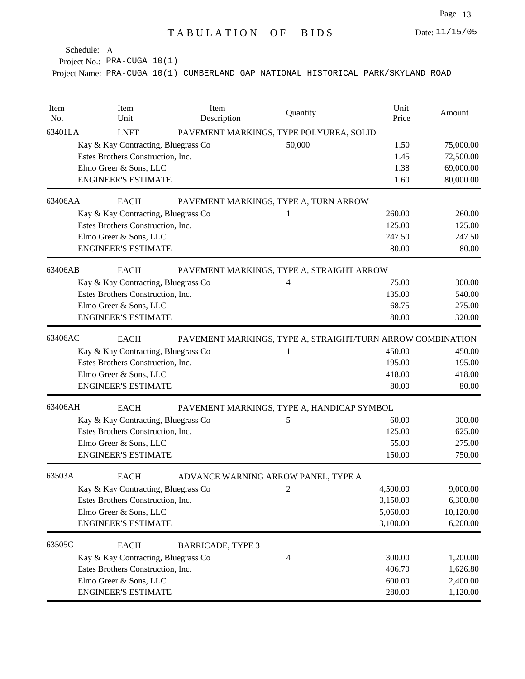Project No.: PRA-CUGA 10(1)

| Item<br>No. | Item<br>Unit                        | Item<br>Description      | Quantity                                                   | Unit<br>Price | Amount    |
|-------------|-------------------------------------|--------------------------|------------------------------------------------------------|---------------|-----------|
| 63401LA     | <b>LNFT</b>                         |                          | PAVEMENT MARKINGS, TYPE POLYUREA, SOLID                    |               |           |
|             | Kay & Kay Contracting, Bluegrass Co |                          | 50,000                                                     | 1.50          | 75,000.00 |
|             | Estes Brothers Construction, Inc.   |                          |                                                            | 1.45          | 72,500.00 |
|             | Elmo Greer & Sons, LLC              |                          |                                                            | 1.38          | 69,000.00 |
|             | <b>ENGINEER'S ESTIMATE</b>          |                          |                                                            | 1.60          | 80,000.00 |
| 63406AA     | <b>EACH</b>                         |                          | PAVEMENT MARKINGS, TYPE A, TURN ARROW                      |               |           |
|             | Kay & Kay Contracting, Bluegrass Co |                          | 1                                                          | 260.00        | 260.00    |
|             | Estes Brothers Construction, Inc.   |                          |                                                            | 125.00        | 125.00    |
|             | Elmo Greer & Sons, LLC              |                          |                                                            | 247.50        | 247.50    |
|             | <b>ENGINEER'S ESTIMATE</b>          |                          |                                                            | 80.00         | 80.00     |
| 63406AB     | <b>EACH</b>                         |                          | PAVEMENT MARKINGS, TYPE A, STRAIGHT ARROW                  |               |           |
|             | Kay & Kay Contracting, Bluegrass Co |                          | 4                                                          | 75.00         | 300.00    |
|             | Estes Brothers Construction, Inc.   |                          |                                                            | 135.00        | 540.00    |
|             | Elmo Greer & Sons, LLC              |                          |                                                            | 68.75         | 275.00    |
|             | <b>ENGINEER'S ESTIMATE</b>          |                          |                                                            | 80.00         | 320.00    |
| 63406AC     | <b>EACH</b>                         |                          | PAVEMENT MARKINGS, TYPE A, STRAIGHT/TURN ARROW COMBINATION |               |           |
|             | Kay & Kay Contracting, Bluegrass Co |                          | 1                                                          | 450.00        | 450.00    |
|             | Estes Brothers Construction, Inc.   |                          |                                                            | 195.00        | 195.00    |
|             | Elmo Greer & Sons, LLC              |                          |                                                            | 418.00        | 418.00    |
|             | <b>ENGINEER'S ESTIMATE</b>          |                          |                                                            | 80.00         | 80.00     |
| 63406AH     | <b>EACH</b>                         |                          | PAVEMENT MARKINGS, TYPE A, HANDICAP SYMBOL                 |               |           |
|             | Kay & Kay Contracting, Bluegrass Co |                          | 5                                                          | 60.00         | 300.00    |
|             | Estes Brothers Construction, Inc.   |                          |                                                            | 125.00        | 625.00    |
|             | Elmo Greer & Sons, LLC              |                          |                                                            | 55.00         | 275.00    |
|             | <b>ENGINEER'S ESTIMATE</b>          |                          |                                                            | 150.00        | 750.00    |
| 63503A      | <b>EACH</b>                         |                          | ADVANCE WARNING ARROW PANEL, TYPE A                        |               |           |
|             | Kay & Kay Contracting, Bluegrass Co |                          | $\sqrt{2}$                                                 | 4,500.00      | 9,000.00  |
|             | Estes Brothers Construction, Inc.   |                          |                                                            | 3,150.00      | 6,300.00  |
|             | Elmo Greer & Sons, LLC              |                          |                                                            | 5,060.00      | 10,120.00 |
|             | <b>ENGINEER'S ESTIMATE</b>          |                          |                                                            | 3,100.00      | 6,200.00  |
| 63505C      | <b>EACH</b>                         | <b>BARRICADE, TYPE 3</b> |                                                            |               |           |
|             | Kay & Kay Contracting, Bluegrass Co |                          | 4                                                          | 300.00        | 1,200.00  |
|             | Estes Brothers Construction, Inc.   |                          |                                                            | 406.70        | 1,626.80  |
|             | Elmo Greer & Sons, LLC              |                          |                                                            | 600.00        | 2,400.00  |
|             | <b>ENGINEER'S ESTIMATE</b>          |                          |                                                            | 280.00        | 1,120.00  |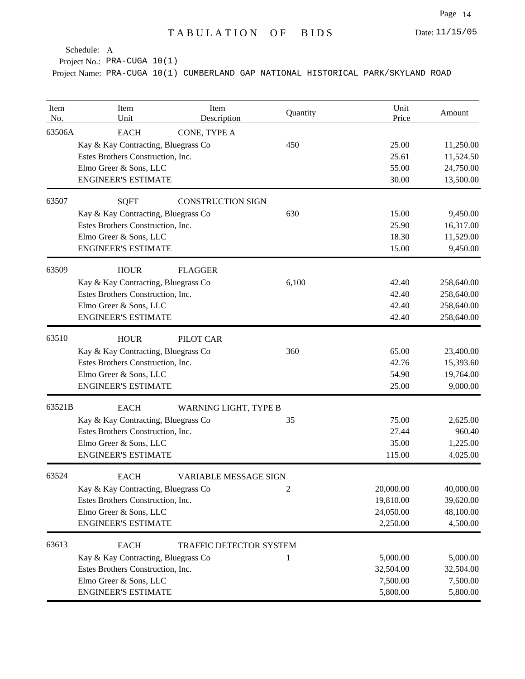Date: 11/15/05

Schedule: A

Project No.: PRA-CUGA 10(1)

| Item<br>No. | Item<br>Unit                                                                                                                                    | Item<br>Description          | Quantity       | Unit<br>Price                                   | Amount                                               |
|-------------|-------------------------------------------------------------------------------------------------------------------------------------------------|------------------------------|----------------|-------------------------------------------------|------------------------------------------------------|
| 63506A      | <b>EACH</b><br>Kay & Kay Contracting, Bluegrass Co<br>Estes Brothers Construction, Inc.<br>Elmo Greer & Sons, LLC<br><b>ENGINEER'S ESTIMATE</b> | CONE, TYPE A                 | 450            | 25.00<br>25.61<br>55.00<br>30.00                | 11,250.00<br>11,524.50<br>24,750.00<br>13,500.00     |
| 63507       | <b>SQFT</b><br>Kay & Kay Contracting, Bluegrass Co                                                                                              | <b>CONSTRUCTION SIGN</b>     | 630            | 15.00                                           | 9,450.00                                             |
|             | Estes Brothers Construction, Inc.<br>Elmo Greer & Sons, LLC<br><b>ENGINEER'S ESTIMATE</b>                                                       |                              |                | 25.90<br>18.30<br>15.00                         | 16,317.00<br>11,529.00<br>9,450.00                   |
| 63509       | <b>HOUR</b><br>Kay & Kay Contracting, Bluegrass Co<br>Estes Brothers Construction, Inc.<br>Elmo Greer & Sons, LLC<br><b>ENGINEER'S ESTIMATE</b> | <b>FLAGGER</b>               | 6,100          | 42.40<br>42.40<br>42.40<br>42.40                | 258,640.00<br>258,640.00<br>258,640.00<br>258,640.00 |
| 63510       | <b>HOUR</b><br>Kay & Kay Contracting, Bluegrass Co<br>Estes Brothers Construction, Inc.<br>Elmo Greer & Sons, LLC<br><b>ENGINEER'S ESTIMATE</b> | PILOT CAR                    | 360            | 65.00<br>42.76<br>54.90<br>25.00                | 23,400.00<br>15,393.60<br>19,764.00<br>9,000.00      |
| 63521B      | <b>EACH</b><br>Kay & Kay Contracting, Bluegrass Co<br>Estes Brothers Construction, Inc.<br>Elmo Greer & Sons, LLC<br><b>ENGINEER'S ESTIMATE</b> | <b>WARNING LIGHT, TYPE B</b> | 35             | 75.00<br>27.44<br>35.00<br>115.00               | 2,625.00<br>960.40<br>1,225.00<br>4,025.00           |
| 63524       | <b>EACH</b><br>Kay & Kay Contracting, Bluegrass Co<br>Estes Brothers Construction, Inc.<br>Elmo Greer & Sons, LLC<br><b>ENGINEER'S ESTIMATE</b> | <b>VARIABLE MESSAGE SIGN</b> | $\overline{2}$ | 20,000.00<br>19,810.00<br>24,050.00<br>2,250.00 | 40,000.00<br>39,620.00<br>48,100.00<br>4,500.00      |
| 63613       | <b>EACH</b><br>Kay & Kay Contracting, Bluegrass Co<br>Estes Brothers Construction, Inc.<br>Elmo Greer & Sons, LLC<br><b>ENGINEER'S ESTIMATE</b> | TRAFFIC DETECTOR SYSTEM      | 1              | 5,000.00<br>32,504.00<br>7,500.00<br>5,800.00   | 5,000.00<br>32,504.00<br>7,500.00<br>5,800.00        |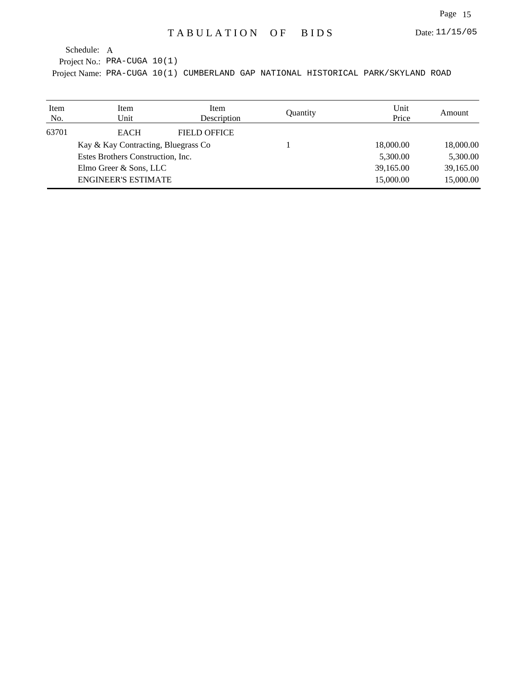Project No.: PRA-CUGA 10(1)

| Item<br>No. | Item<br>Unit                                                                                       | Item<br>Description | Quantity | Unit<br>Price | Amount    |
|-------------|----------------------------------------------------------------------------------------------------|---------------------|----------|---------------|-----------|
| 63701       | <b>EACH</b>                                                                                        | <b>FIELD OFFICE</b> |          |               |           |
|             | Kay & Kay Contracting, Bluegrass Co<br>Estes Brothers Construction, Inc.<br>Elmo Greer & Sons, LLC |                     |          | 18,000.00     | 18,000.00 |
|             |                                                                                                    |                     |          | 5,300.00      | 5,300.00  |
|             |                                                                                                    |                     |          | 39,165.00     | 39,165.00 |
|             | <b>ENGINEER'S ESTIMATE</b>                                                                         |                     |          | 15,000.00     | 15,000.00 |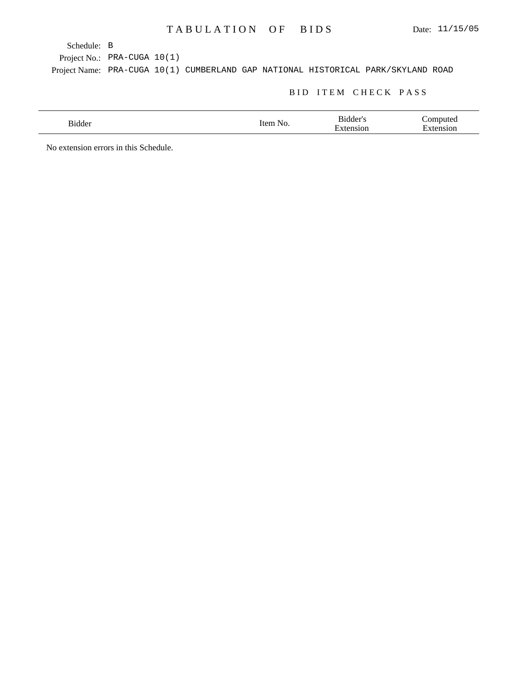Project No.: PRA-CUGA 10(1)

Project Name: PRA-CUGA 10(1) CUMBERLAND GAP NATIONAL HISTORICAL PARK/SKYLAND ROAD

#### BID ITEM CHECK PASS

| $\mathbf{r}$<br>Bidder | NZ | $\sim$ 44 $^{\circ}$<br>OП | $\overline{\phantom{a}}$ |
|------------------------|----|----------------------------|--------------------------|
|                        |    |                            |                          |

No extension errors in this Schedule.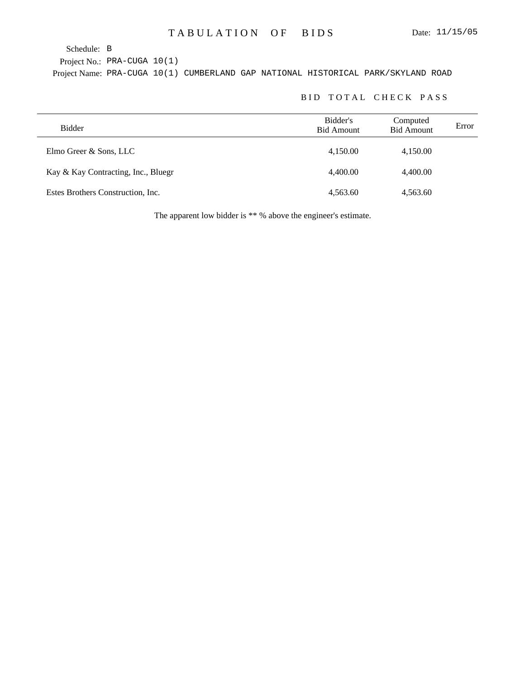Project No.: PRA-CUGA 10(1)

Project Name: PRA-CUGA 10(1) CUMBERLAND GAP NATIONAL HISTORICAL PARK/SKYLAND ROAD

## BID TOTAL CHECK PASS

| Bidder                              | Bidder's<br><b>Bid Amount</b> | Computed<br><b>Bid Amount</b> | Error |
|-------------------------------------|-------------------------------|-------------------------------|-------|
| Elmo Greer & Sons, LLC              | 4,150.00                      | 4,150.00                      |       |
| Kay & Kay Contracting, Inc., Bluegr | 4.400.00                      | 4,400.00                      |       |
| Estes Brothers Construction, Inc.   | 4,563.60                      | 4,563.60                      |       |

The apparent low bidder is \*\* % above the engineer's estimate.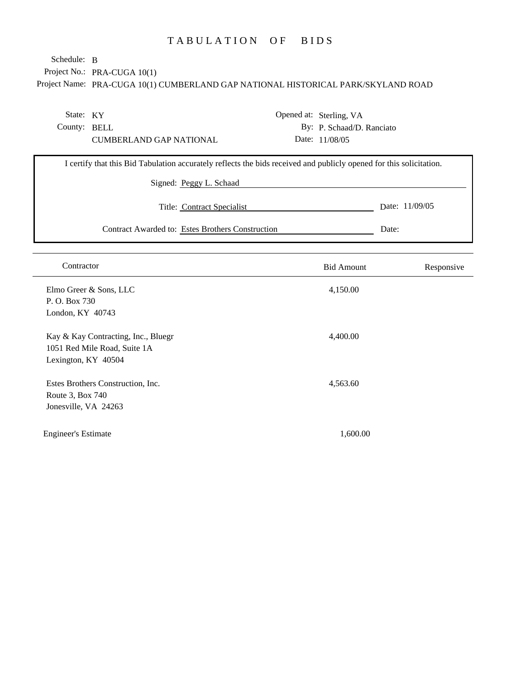# TABULATION OF BIDS

Project No.: PRA-CUGA 10(1) Schedule: B

| State: KY                                                                                                           | Opened at: Sterling, VA   |                |
|---------------------------------------------------------------------------------------------------------------------|---------------------------|----------------|
| County: BELL                                                                                                        | By: P. Schaad/D. Ranciato |                |
| <b>CUMBERLAND GAP NATIONAL</b>                                                                                      | Date: 11/08/05            |                |
| I certify that this Bid Tabulation accurately reflects the bids received and publicly opened for this solicitation. |                           |                |
| Signed: Peggy L. Schaad                                                                                             |                           |                |
| Title: Contract Specialist                                                                                          |                           | Date: 11/09/05 |
| Contract Awarded to: Estes Brothers Construction                                                                    | Date:                     |                |
|                                                                                                                     |                           |                |
| Contractor                                                                                                          | <b>Bid Amount</b>         | Responsive     |
| Elmo Greer & Sons, LLC                                                                                              | 4,150.00                  |                |
| P.O. Box 730                                                                                                        |                           |                |
| London, KY 40743                                                                                                    |                           |                |
| Kay & Kay Contracting, Inc., Bluegr                                                                                 | 4,400.00                  |                |
| 1051 Red Mile Road, Suite 1A                                                                                        |                           |                |
| Lexington, KY 40504                                                                                                 |                           |                |
| Estes Brothers Construction, Inc.                                                                                   | 4,563.60                  |                |
| Route 3, Box 740                                                                                                    |                           |                |
| Jonesville, VA 24263                                                                                                |                           |                |
| <b>Engineer's Estimate</b>                                                                                          | 1,600.00                  |                |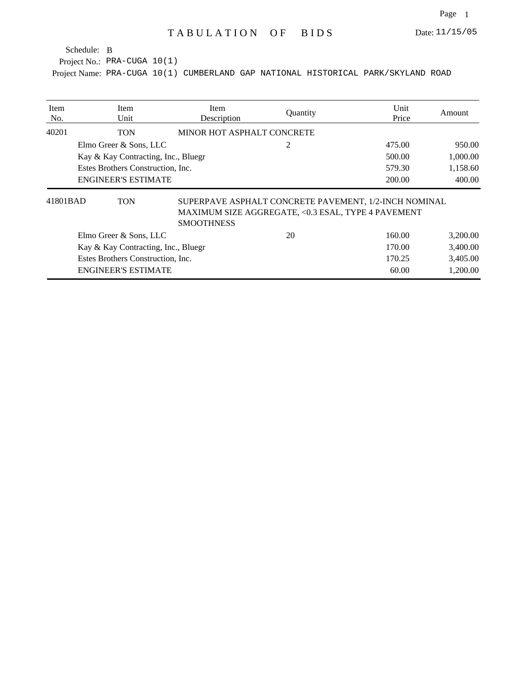Project No.: PRA-CUGA 10(1)

| Item<br>No. | <b>Item</b><br>Unit                 | Item<br>Description        | Quantity                                                                                                    | Unit<br>Price | Amount   |
|-------------|-------------------------------------|----------------------------|-------------------------------------------------------------------------------------------------------------|---------------|----------|
| 40201       | TON                                 | MINOR HOT ASPHALT CONCRETE |                                                                                                             |               |          |
|             | Elmo Greer & Sons, LLC              |                            | 2                                                                                                           | 475.00        | 950.00   |
|             | Kay & Kay Contracting, Inc., Bluegr |                            |                                                                                                             | 500.00        | 1,000.00 |
|             | Estes Brothers Construction, Inc.   |                            |                                                                                                             | 579.30        | 1,158.60 |
|             | <b>ENGINEER'S ESTIMATE</b>          |                            |                                                                                                             | 200.00        | 400.00   |
| 41801BAD    | <b>TON</b>                          | <b>SMOOTHNESS</b>          | SUPERPAVE ASPHALT CONCRETE PAVEMENT, 1/2-INCH NOMINAL<br>MAXIMUM SIZE AGGREGATE, <0.3 ESAL, TYPE 4 PAVEMENT |               |          |
|             | Elmo Greer & Sons, LLC              |                            | 20                                                                                                          | 160.00        | 3,200.00 |
|             | Kay & Kay Contracting, Inc., Bluegr |                            |                                                                                                             | 170.00        | 3,400.00 |
|             | Estes Brothers Construction, Inc.   |                            |                                                                                                             | 170.25        | 3,405.00 |
|             | <b>ENGINEER'S ESTIMATE</b>          |                            |                                                                                                             | 60.00         | 1,200.00 |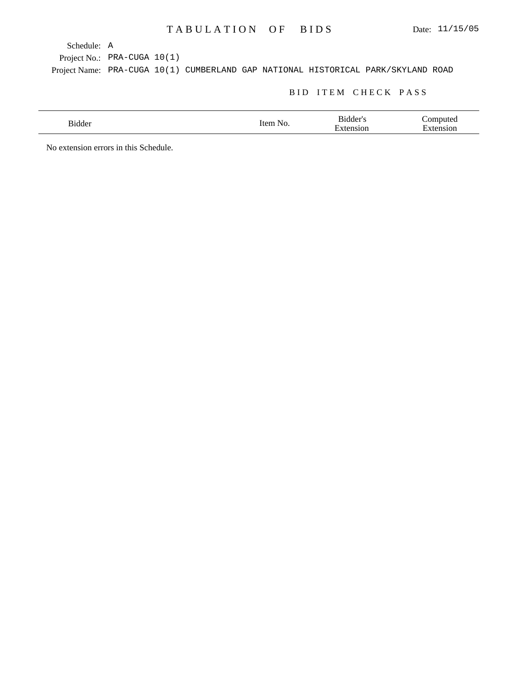A Schedule:

Project No.: PRA-CUGA 10(1)

Project Name: PRA-CUGA 10(1) CUMBERLAND GAP NATIONAL HISTORICAL PARK/SKYLAND ROAD

### BID ITEM CHECK PASS

| $\mathbf{r}$<br>Bidder | NI. | $\sim$ 44 $^{\circ}$<br>JI. | ∽ |
|------------------------|-----|-----------------------------|---|
|                        |     |                             |   |

No extension errors in this Schedule.